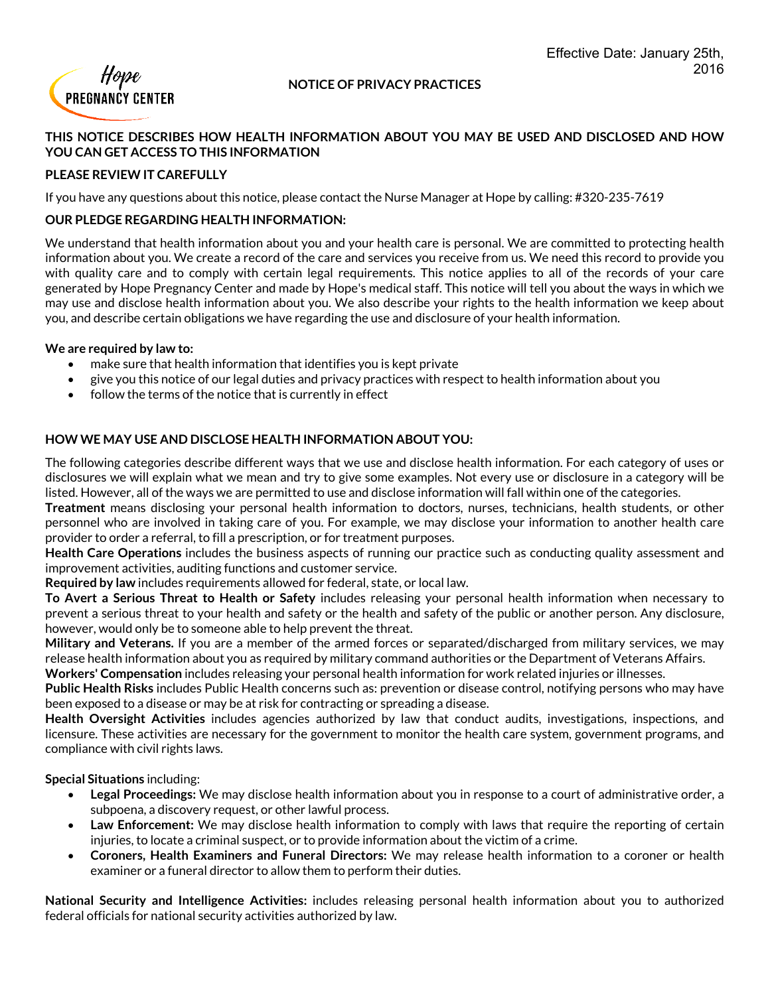

#### **NOTICE OF PRIVACY PRACTICES**

## **THIS NOTICE DESCRIBES HOW HEALTH INFORMATION ABOUT YOU MAY BE USED AND DISCLOSED AND HOW YOU CAN GET ACCESS TO THIS INFORMATION**

## **PLEASE REVIEW IT CAREFULLY**

If you have any questions about this notice, please contact the Nurse Manager at Hope by calling: #320-235-7619

## **OUR PLEDGE REGARDING HEALTH INFORMATION:**

We understand that health information about you and your health care is personal. We are committed to protecting health information about you. We create a record of the care and services you receive from us. We need this record to provide you with quality care and to comply with certain legal requirements. This notice applies to all of the records of your care generated by Hope Pregnancy Center and made by Hope's medical staff. This notice will tell you about the ways in which we may use and disclose health information about you. We also describe yourrights to the health information we keep about you, and describe certain obligations we have regarding the use and disclosure of your health information.

#### **We are required by law to:**

- make sure that health information that identifies you is kept private
- give you this notice of our legal duties and privacy practices with respect to health information about you
- follow the terms of the notice that is currently in effect

# **HOW WE MAY USE AND DISCLOSE HEALTH INFORMATION ABOUT YOU:**

The following categories describe different ways that we use and disclose health information. For each category of uses or disclosures we will explain what we mean and try to give some examples. Not every use or disclosure in a category will be listed. However, all of the ways we are permitted to use and disclose information will fall within one of the categories.

**Treatment** means disclosing your personal health information to doctors, nurses, technicians, health students, or other personnel who are involved in taking care of you. For example, we may disclose your information to another health care provider to order a referral, to fill a prescription, or for treatment purposes.

**Health Care Operations** includes the business aspects of running our practice such as conducting quality assessment and improvement activities, auditing functions and customer service.

**Required by law** includes requirements allowed for federal, state, or local law.

**To Avert a Serious Threat to Health or Safety** includes releasing your personal health information when necessary to prevent a serious threat to your health and safety or the health and safety of the public or another person. Any disclosure, however, would only be to someone able to help prevent the threat.

**Military and Veterans.** If you are a member of the armed forces or separated/discharged from military services, we may release health information about you as required by military command authorities or the Department of Veterans Affairs.

**Workers' Compensation** includes releasing your personal health information for work related injuries or illnesses.

**Public Health Risks** includes Public Health concerns such as: prevention or disease control, notifying persons who may have been exposed to a disease or may be at risk for contracting or spreading a disease.

**Health Oversight Activities** includes agencies authorized by law that conduct audits, investigations, inspections, and licensure. These activities are necessary for the government to monitor the health care system, government programs, and compliance with civil rights laws.

**Special Situations** including:

- **Legal Proceedings:** We may disclose health information about you in response to a court of administrative order, a subpoena, a discovery request, or other lawful process.
- **Law Enforcement:** We may disclose health information to comply with laws that require the reporting of certain injuries, to locate a criminal suspect, or to provide information about the victim of a crime.
- **Coroners, Health Examiners and Funeral Directors:** We may release health information to a coroner or health examiner or a funeral director to allow them to perform their duties.

**National Security and Intelligence Activities:** includes releasing personal health information about you to authorized federal officials for national security activities authorized by law.